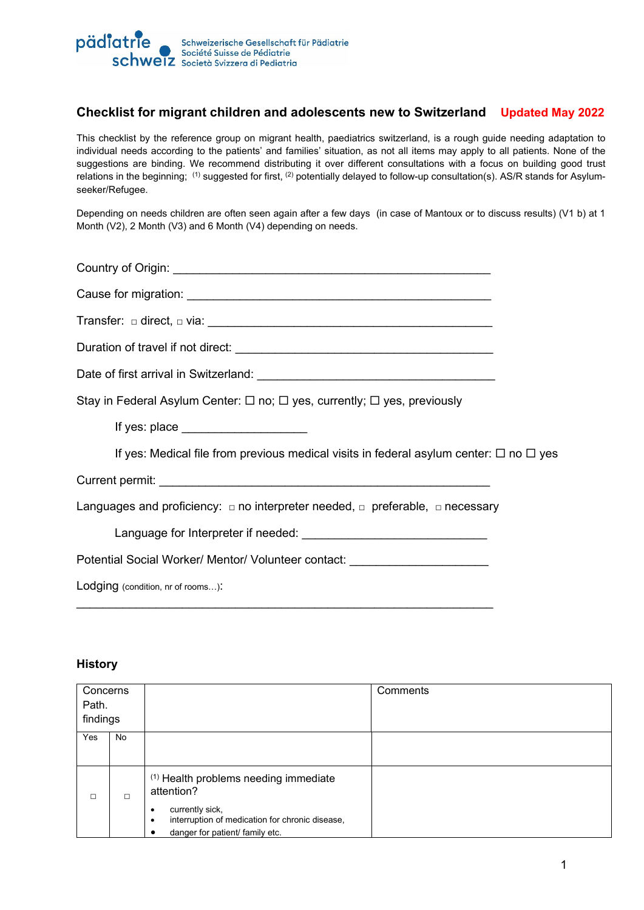

### **Checklist for migrant children and adolescents new to Switzerland Updated May 2022**

This checklist by the reference group on migrant health, paediatrics switzerland, is a rough guide needing adaptation to individual needs according to the patients' and families' situation, as not all items may apply to all patients. None of the suggestions are binding. We recommend distributing it over different consultations with a focus on building good trust relations in the beginning; (1) suggested for first, <sup>(2)</sup> potentially delayed to follow-up consultation(s). AS/R stands for Asylumseeker/Refugee.

Depending on needs children are often seen again after a few days (in case of Mantoux or to discuss results) (V1 b) at 1 Month (V2), 2 Month (V3) and 6 Month (V4) depending on needs.

Country of Origin: \_\_\_\_\_\_\_\_\_\_\_\_\_\_\_\_\_\_\_\_\_\_\_\_\_\_\_\_\_\_\_\_\_\_\_\_\_\_\_\_\_\_\_\_\_\_\_\_ Cause for migration: \_\_\_\_\_\_\_\_\_\_\_\_\_\_\_\_\_\_\_\_\_\_\_\_\_\_\_\_\_\_\_\_\_\_\_\_\_\_\_\_\_\_\_\_\_\_

Transfer: □ direct, □ via: \_\_\_\_\_\_\_\_\_\_\_\_\_\_\_\_\_\_\_\_\_\_\_\_\_\_\_\_\_\_\_\_\_\_\_\_\_\_\_\_\_\_\_

Duration of travel if not direct: \_\_\_\_\_\_\_\_\_\_\_\_\_\_\_\_\_\_\_\_\_\_\_\_\_\_\_\_\_\_\_\_\_\_\_\_\_\_\_

Date of first arrival in Switzerland:

Stay in Federal Asylum Center:  $\Box$  no;  $\Box$  yes, currently;  $\Box$  yes, previously

If yes: place  $\blacksquare$ 

If yes: Medical file from previous medical visits in federal asylum center:  $\Box$  no  $\Box$  yes

Current permit:

Languages and proficiency:  $\Box$  no interpreter needed,  $\Box$  preferable,  $\Box$  necessary

\_\_\_\_\_\_\_\_\_\_\_\_\_\_\_\_\_\_\_\_\_\_\_\_\_\_\_\_\_\_\_\_\_\_\_\_\_\_\_\_\_\_\_\_\_\_\_\_\_\_\_\_\_\_\_\_\_\_\_\_\_\_\_

Language for Interpreter if needed: Language for Interpreter if needed:

Potential Social Worker/ Mentor/ Volunteer contact:

Lodging (condition, nr of rooms...):

#### **History**

| Concerns<br>Path.<br>findings |    |                                                                                                                                                                                        | Comments |
|-------------------------------|----|----------------------------------------------------------------------------------------------------------------------------------------------------------------------------------------|----------|
| Yes                           | No |                                                                                                                                                                                        |          |
| □                             | П  | <sup>(1)</sup> Health problems needing immediate<br>attention?<br>currently sick,<br>٠<br>interruption of medication for chronic disease,<br>٠<br>danger for patient/ family etc.<br>с |          |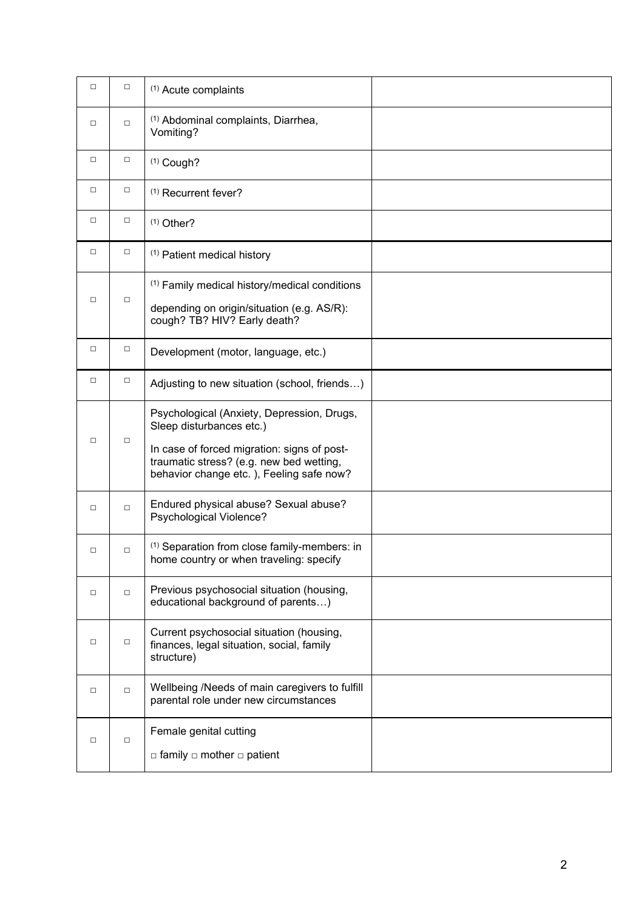| $\Box$ | $\Box$ | <sup>(1)</sup> Acute complaints                                                                                                                                                                               |  |
|--------|--------|---------------------------------------------------------------------------------------------------------------------------------------------------------------------------------------------------------------|--|
| $\Box$ | $\Box$ | <sup>(1)</sup> Abdominal complaints, Diarrhea,<br>Vomiting?                                                                                                                                                   |  |
| $\Box$ | $\Box$ | $(1)$ Cough?                                                                                                                                                                                                  |  |
| $\Box$ | $\Box$ | <sup>(1)</sup> Recurrent fever?                                                                                                                                                                               |  |
| $\Box$ | $\Box$ | $(1)$ Other?                                                                                                                                                                                                  |  |
| $\Box$ | $\Box$ | (1) Patient medical history                                                                                                                                                                                   |  |
| $\Box$ | $\Box$ | <sup>(1)</sup> Family medical history/medical conditions<br>depending on origin/situation (e.g. AS/R):<br>cough? TB? HIV? Early death?                                                                        |  |
| $\Box$ | $\Box$ | Development (motor, language, etc.)                                                                                                                                                                           |  |
| $\Box$ | □      | Adjusting to new situation (school, friends)                                                                                                                                                                  |  |
| $\Box$ | $\Box$ | Psychological (Anxiety, Depression, Drugs,<br>Sleep disturbances etc.)<br>In case of forced migration: signs of post-<br>traumatic stress? (e.g. new bed wetting,<br>behavior change etc.), Feeling safe now? |  |
| $\Box$ | $\Box$ | Endured physical abuse? Sexual abuse?<br>Psychological Violence?                                                                                                                                              |  |
| $\Box$ | □      | <sup>(1)</sup> Separation from close family-members: in<br>home country or when traveling: specify                                                                                                            |  |
| $\Box$ | $\Box$ | Previous psychosocial situation (housing,<br>educational background of parents)                                                                                                                               |  |
| $\Box$ | $\Box$ | Current psychosocial situation (housing,<br>finances, legal situation, social, family<br>structure)                                                                                                           |  |
| $\Box$ | $\Box$ | Wellbeing /Needs of main caregivers to fulfill<br>parental role under new circumstances                                                                                                                       |  |
| $\Box$ | $\Box$ | Female genital cutting<br>$\Box$ family $\Box$ mother $\Box$ patient                                                                                                                                          |  |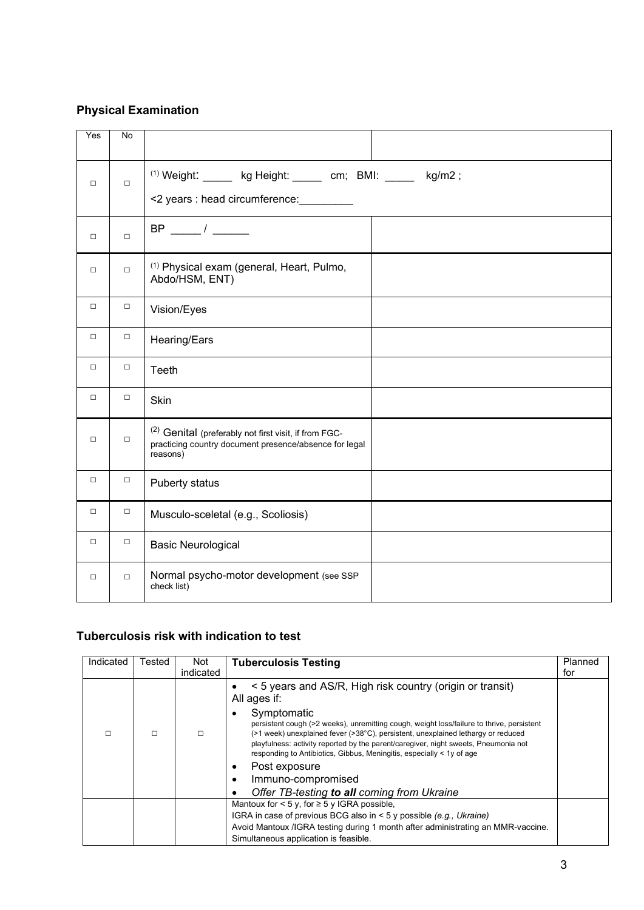# **Physical Examination**

| Yes    | <b>No</b> |                                                                                                                                        |
|--------|-----------|----------------------------------------------------------------------------------------------------------------------------------------|
| $\Box$ | $\Box$    | $(1)$ Weight: ______ kg Height: _____ cm; BMI: _____ kg/m2;<br><2 years : head circumference: _________                                |
| $\Box$ | $\Box$    | $BP$ ____/ ____                                                                                                                        |
| $\Box$ | $\Box$    | <sup>(1)</sup> Physical exam (general, Heart, Pulmo,<br>Abdo/HSM, ENT)                                                                 |
| $\Box$ | $\Box$    | Vision/Eyes                                                                                                                            |
| $\Box$ | $\Box$    | Hearing/Ears                                                                                                                           |
| $\Box$ | $\Box$    | Teeth                                                                                                                                  |
| $\Box$ | $\Box$    | <b>Skin</b>                                                                                                                            |
| $\Box$ | $\Box$    | <sup>(2)</sup> Genital (preferably not first visit, if from FGC-<br>practicing country document presence/absence for legal<br>reasons) |
| $\Box$ | $\Box$    | Puberty status                                                                                                                         |
| $\Box$ | $\Box$    | Musculo-sceletal (e.g., Scoliosis)                                                                                                     |
| $\Box$ | $\Box$    | <b>Basic Neurological</b>                                                                                                              |
| $\Box$ | $\Box$    | Normal psycho-motor development (see SSP<br>check list)                                                                                |

# **Tuberculosis risk with indication to test**

| Indicated | Tested                                      | Not       | <b>Tuberculosis Testing</b>                                                                                                                                                                                                                                                                                                                                       | Planned |
|-----------|---------------------------------------------|-----------|-------------------------------------------------------------------------------------------------------------------------------------------------------------------------------------------------------------------------------------------------------------------------------------------------------------------------------------------------------------------|---------|
|           |                                             | indicated |                                                                                                                                                                                                                                                                                                                                                                   | for     |
|           |                                             |           | < 5 years and AS/R, High risk country (origin or transit)<br>All ages if:                                                                                                                                                                                                                                                                                         |         |
| п         | П                                           |           | Symptomatic<br>٠<br>persistent cough (>2 weeks), unremitting cough, weight loss/failure to thrive, persistent<br>(>1 week) unexplained fever (>38°C), persistent, unexplained lethargy or reduced<br>playfulness: activity reported by the parent/caregiver, night sweets, Pneumonia not<br>responding to Antibiotics, Gibbus, Meningitis, especially < 1y of age |         |
|           |                                             |           | Post exposure                                                                                                                                                                                                                                                                                                                                                     |         |
|           |                                             |           | Immuno-compromised                                                                                                                                                                                                                                                                                                                                                |         |
|           | Offer TB-testing to all coming from Ukraine |           |                                                                                                                                                                                                                                                                                                                                                                   |         |
|           |                                             |           | Mantoux for $<$ 5 y, for $\geq$ 5 y IGRA possible,                                                                                                                                                                                                                                                                                                                |         |
|           |                                             |           | IGRA in case of previous BCG also in $\leq$ 5 y possible (e.g., Ukraine)                                                                                                                                                                                                                                                                                          |         |
|           |                                             |           | Avoid Mantoux / IGRA testing during 1 month after administrating an MMR-vaccine.                                                                                                                                                                                                                                                                                  |         |
|           |                                             |           | Simultaneous application is feasible.                                                                                                                                                                                                                                                                                                                             |         |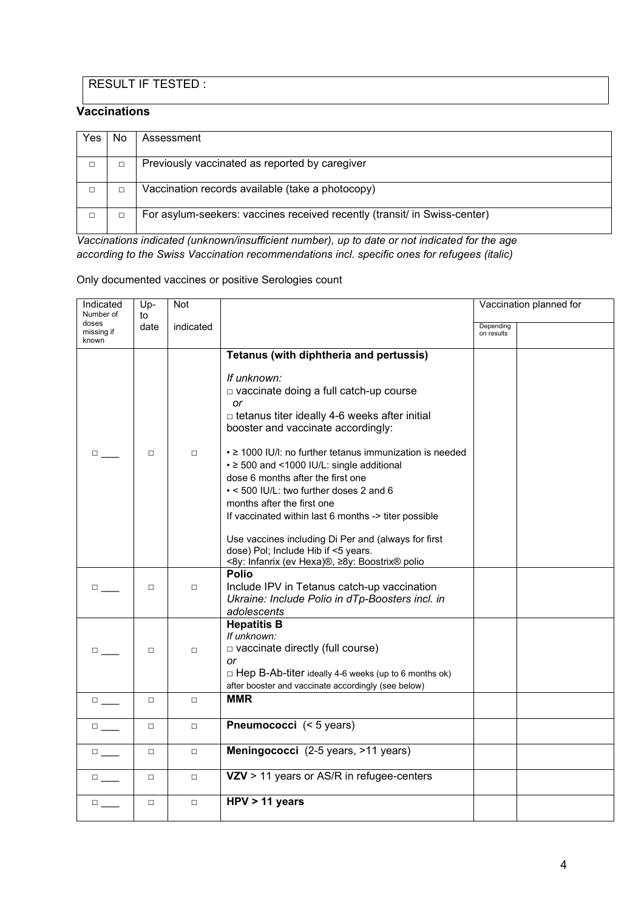# RESULT IF TESTED :

#### **Vaccinations**

| <b>Yes</b> | No. | Assessment                                                                |
|------------|-----|---------------------------------------------------------------------------|
|            |     | Previously vaccinated as reported by caregiver                            |
|            |     | Vaccination records available (take a photocopy)                          |
|            |     | For asylum-seekers: vaccines received recently (transit/ in Swiss-center) |

*Vaccinations indicated (unknown/insufficient number), up to date or not indicated for the age according to the Swiss Vaccination recommendations incl. specific ones for refugees (italic)* 

#### Only documented vaccines or positive Serologies count

| Indicated<br>Number of       | Up-        | <b>Not</b> |                                                                                            |                         | Vaccination planned for |
|------------------------------|------------|------------|--------------------------------------------------------------------------------------------|-------------------------|-------------------------|
| doses<br>missing if<br>known | to<br>date | indicated  |                                                                                            | Depending<br>on results |                         |
|                              |            |            | Tetanus (with diphtheria and pertussis)                                                    |                         |                         |
|                              |            |            | If unknown:                                                                                |                         |                         |
|                              |            |            | □ vaccinate doing a full catch-up course                                                   |                         |                         |
|                              |            |            | or                                                                                         |                         |                         |
|                              |            |            | $\Box$ tetanus titer ideally 4-6 weeks after initial<br>booster and vaccinate accordingly: |                         |                         |
|                              |            |            |                                                                                            |                         |                         |
| $\Box$                       | $\Box$     | $\Box$     | • ≥ 1000 IU/I: no further tetanus immunization is needed                                   |                         |                         |
|                              |            |            | • ≥ 500 and <1000 IU/L: single additional                                                  |                         |                         |
|                              |            |            | dose 6 months after the first one                                                          |                         |                         |
|                              |            |            | • < 500 IU/L: two further doses 2 and 6                                                    |                         |                         |
|                              |            |            | months after the first one                                                                 |                         |                         |
|                              |            |            | If vaccinated within last 6 months -> titer possible                                       |                         |                         |
|                              |            |            | Use vaccines including Di Per and (always for first                                        |                         |                         |
|                              |            |            | dose) Pol; Include Hib if <5 years.                                                        |                         |                         |
|                              |            |            | <8y: Infanrix (ev Hexa)®, ≥8y: Boostrix® polio                                             |                         |                         |
|                              |            |            | <b>Polio</b>                                                                               |                         |                         |
| $\Box$                       | $\Box$     | $\Box$     | Include IPV in Tetanus catch-up vaccination                                                |                         |                         |
|                              |            |            | Ukraine: Include Polio in dTp-Boosters incl. in                                            |                         |                         |
|                              |            |            | adolescents                                                                                |                         |                         |
|                              |            |            | <b>Hepatitis B</b><br>If unknown:                                                          |                         |                         |
| $\Box$                       | $\Box$     | $\Box$     | $\Box$ vaccinate directly (full course)                                                    |                         |                         |
|                              |            |            | or                                                                                         |                         |                         |
|                              |            |            | □ Hep B-Ab-titer ideally 4-6 weeks (up to 6 months ok)                                     |                         |                         |
|                              |            |            | after booster and vaccinate accordingly (see below)                                        |                         |                         |
| $\Box$                       | $\Box$     | $\Box$     | <b>MMR</b>                                                                                 |                         |                         |
|                              |            |            |                                                                                            |                         |                         |
| $\Box$                       | $\Box$     | $\Box$     | Pneumococci (< 5 years)                                                                    |                         |                         |
| $\Box$                       | $\Box$     | $\Box$     | Meningococci (2-5 years, >11 years)                                                        |                         |                         |
|                              |            |            |                                                                                            |                         |                         |
| $\square$                    | $\Box$     | $\Box$     | VZV > 11 years or AS/R in refugee-centers                                                  |                         |                         |
|                              |            |            |                                                                                            |                         |                         |
| $\Box$                       | $\Box$     | $\Box$     | $HPV > 11$ years                                                                           |                         |                         |
|                              |            |            |                                                                                            |                         |                         |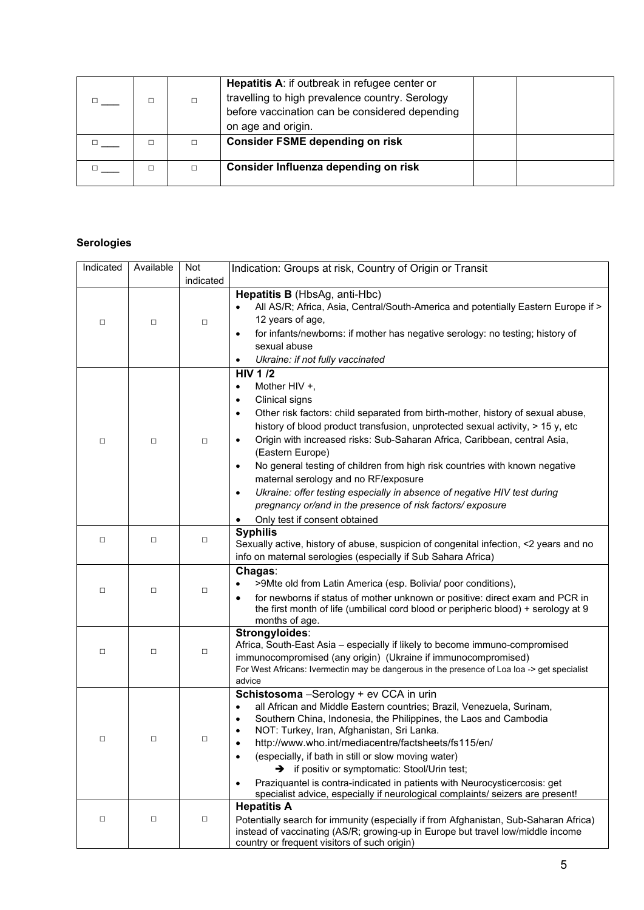|   |   | Hepatitis A: if outbreak in refugee center or<br>travelling to high prevalence country. Serology<br>before vaccination can be considered depending<br>on age and origin. |  |
|---|---|--------------------------------------------------------------------------------------------------------------------------------------------------------------------------|--|
| □ | □ | <b>Consider FSME depending on risk</b>                                                                                                                                   |  |
| □ | □ | Consider Influenza depending on risk                                                                                                                                     |  |

### **Serologies**

| Indicated | Available | Not       | Indication: Groups at risk, Country of Origin or Transit                                                                                                                                                                                                                                                                                                                                                                                                                                                                                                                                                                                                                                               |
|-----------|-----------|-----------|--------------------------------------------------------------------------------------------------------------------------------------------------------------------------------------------------------------------------------------------------------------------------------------------------------------------------------------------------------------------------------------------------------------------------------------------------------------------------------------------------------------------------------------------------------------------------------------------------------------------------------------------------------------------------------------------------------|
|           |           | indicated |                                                                                                                                                                                                                                                                                                                                                                                                                                                                                                                                                                                                                                                                                                        |
| $\Box$    | $\Box$    | □         | Hepatitis B (HbsAg, anti-Hbc)<br>All AS/R; Africa, Asia, Central/South-America and potentially Eastern Europe if ><br>12 years of age,<br>for infants/newborns: if mother has negative serology: no testing; history of<br>$\bullet$<br>sexual abuse<br>Ukraine: if not fully vaccinated<br>$\bullet$                                                                                                                                                                                                                                                                                                                                                                                                  |
| □         | $\Box$    | □         | <b>HIV 1/2</b><br>Mother HIV +,<br>$\bullet$<br>Clinical signs<br>$\bullet$<br>Other risk factors: child separated from birth-mother, history of sexual abuse,<br>$\bullet$<br>history of blood product transfusion, unprotected sexual activity, > 15 y, etc<br>Origin with increased risks: Sub-Saharan Africa, Caribbean, central Asia,<br>$\bullet$<br>(Eastern Europe)<br>No general testing of children from high risk countries with known negative<br>$\bullet$<br>maternal serology and no RF/exposure<br>Ukraine: offer testing especially in absence of negative HIV test during<br>$\bullet$<br>pregnancy or/and in the presence of risk factors/exposure<br>Only test if consent obtained |
| □         | $\Box$    | □         | <b>Syphilis</b><br>Sexually active, history of abuse, suspicion of congenital infection, <2 years and no<br>info on maternal serologies (especially if Sub Sahara Africa)                                                                                                                                                                                                                                                                                                                                                                                                                                                                                                                              |
| $\Box$    | $\Box$    | □         | Chagas:<br>>9Mte old from Latin America (esp. Bolivia/ poor conditions),<br>for newborns if status of mother unknown or positive: direct exam and PCR in<br>the first month of life (umbilical cord blood or peripheric blood) + serology at 9<br>months of age.                                                                                                                                                                                                                                                                                                                                                                                                                                       |
| $\Box$    | $\Box$    | $\Box$    | Strongyloides:<br>Africa, South-East Asia - especially if likely to become immuno-compromised<br>immunocompromised (any origin) (Ukraine if immunocompromised)<br>For West Africans: Ivermectin may be dangerous in the presence of Loa loa -> get specialist<br>advice                                                                                                                                                                                                                                                                                                                                                                                                                                |
| □         | $\Box$    | □         | Schistosoma - Serology + ev CCA in urin<br>all African and Middle Eastern countries; Brazil, Venezuela, Surinam,<br>Southern China, Indonesia, the Philippines, the Laos and Cambodia<br>$\bullet$<br>NOT: Turkey, Iran, Afghanistan, Sri Lanka.<br>٠<br>http://www.who.int/mediacentre/factsheets/fs115/en/<br>(especially, if bath in still or slow moving water)<br>$\bullet$<br>$\rightarrow$ if positiv or symptomatic: Stool/Urin test;<br>Praziquantel is contra-indicated in patients with Neurocysticercosis: get<br>$\bullet$<br>specialist advice, especially if neurological complaints/ seizers are present!                                                                              |
| □         | □         | □         | <b>Hepatitis A</b><br>Potentially search for immunity (especially if from Afghanistan, Sub-Saharan Africa)<br>instead of vaccinating (AS/R; growing-up in Europe but travel low/middle income<br>country or frequent visitors of such origin)                                                                                                                                                                                                                                                                                                                                                                                                                                                          |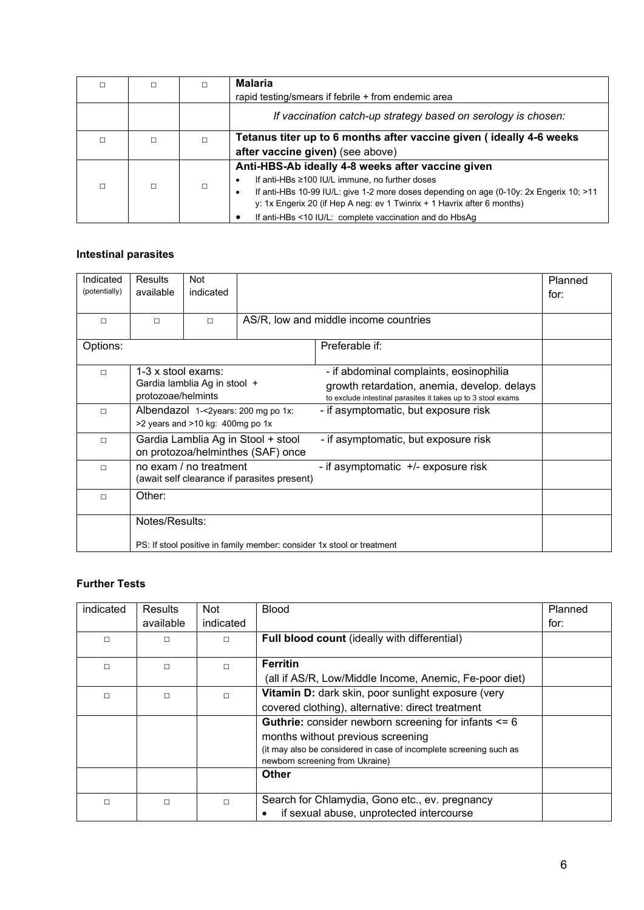|        |   | <b>Malaria</b>                                                                                       |  |  |  |
|--------|---|------------------------------------------------------------------------------------------------------|--|--|--|
|        |   | rapid testing/smears if febrile + from endemic area                                                  |  |  |  |
|        |   | If vaccination catch-up strategy based on serology is chosen:                                        |  |  |  |
| $\Box$ | П | Tetanus titer up to 6 months after vaccine given (ideally 4-6 weeks                                  |  |  |  |
|        |   | after vaccine given) (see above)                                                                     |  |  |  |
|        |   | Anti-HBS-Ab ideally 4-8 weeks after vaccine given                                                    |  |  |  |
| $\Box$ | П | If anti-HBs ≥100 IU/L immune, no further doses<br>$\bullet$                                          |  |  |  |
|        |   | If anti-HBs 10-99 IU/L: give 1-2 more doses depending on age (0-10y: 2x Engerix 10; >11<br>$\bullet$ |  |  |  |
|        |   | y: 1x Engerix 20 (if Hep A neg: ev 1 Twinrix $+$ 1 Havrix after 6 months)                            |  |  |  |
|        |   | If anti-HBs <10 IU/L: complete vaccination and do HbsAq                                              |  |  |  |

### **Intestinal parasites**

| Indicated<br>(potentially) | Results<br>available                                                                                            | Not<br>indicated                 |  |                                                                                                             | Planned<br>for: |  |
|----------------------------|-----------------------------------------------------------------------------------------------------------------|----------------------------------|--|-------------------------------------------------------------------------------------------------------------|-----------------|--|
|                            |                                                                                                                 |                                  |  |                                                                                                             |                 |  |
| $\Box$                     | $\Box$                                                                                                          | $\Box$                           |  | AS/R, low and middle income countries                                                                       |                 |  |
| Options:                   |                                                                                                                 |                                  |  | Preferable if:                                                                                              |                 |  |
| $\Box$                     | 1-3 x stool exams:                                                                                              | Gardia lamblia Ag in stool +     |  | - if abdominal complaints, eosinophilia                                                                     |                 |  |
|                            | protozoae/helmints                                                                                              |                                  |  | growth retardation, anemia, develop. delays<br>to exclude intestinal parasites it takes up to 3 stool exams |                 |  |
| $\Box$                     | Albendazol 1-<2years: 200 mg po 1x:                                                                             |                                  |  | - if asymptomatic, but exposure risk                                                                        |                 |  |
|                            |                                                                                                                 | >2 years and >10 kg: 400mg po 1x |  |                                                                                                             |                 |  |
| $\Box$                     | Gardia Lamblia Ag in Stool + stool<br>- if asymptomatic, but exposure risk<br>on protozoa/helminthes (SAF) once |                                  |  |                                                                                                             |                 |  |
| п                          | no exam / no treatment<br>- if asymptomatic +/- exposure risk<br>(await self clearance if parasites present)    |                                  |  |                                                                                                             |                 |  |
| П                          | Other:                                                                                                          |                                  |  |                                                                                                             |                 |  |
|                            | Notes/Results:                                                                                                  |                                  |  |                                                                                                             |                 |  |
|                            |                                                                                                                 |                                  |  | PS: If stool positive in family member: consider 1x stool or treatment                                      |                 |  |

### **Further Tests**

| indicated | <b>Results</b> | <b>Not</b> | <b>Blood</b>                                                                                          | Planned |
|-----------|----------------|------------|-------------------------------------------------------------------------------------------------------|---------|
|           | available      | indicated  |                                                                                                       | for:    |
| П         | $\Box$         | п          | Full blood count (ideally with differential)                                                          |         |
| $\Box$    | П              | п          | <b>Ferritin</b>                                                                                       |         |
|           |                |            | (all if AS/R, Low/Middle Income, Anemic, Fe-poor diet)                                                |         |
| □         | $\Box$         | п          | Vitamin D: dark skin, poor sunlight exposure (very                                                    |         |
|           |                |            | covered clothing), alternative: direct treatment                                                      |         |
|           |                |            | <b>Guthrie:</b> consider newborn screening for infants $\leq 6$                                       |         |
|           |                |            | months without previous screening                                                                     |         |
|           |                |            | (it may also be considered in case of incomplete screening such as<br>newborn screening from Ukraine) |         |
|           |                |            | Other                                                                                                 |         |
| □         | П              | п          | Search for Chlamydia, Gono etc., ev. pregnancy                                                        |         |
|           |                |            | if sexual abuse, unprotected intercourse<br>$\bullet$                                                 |         |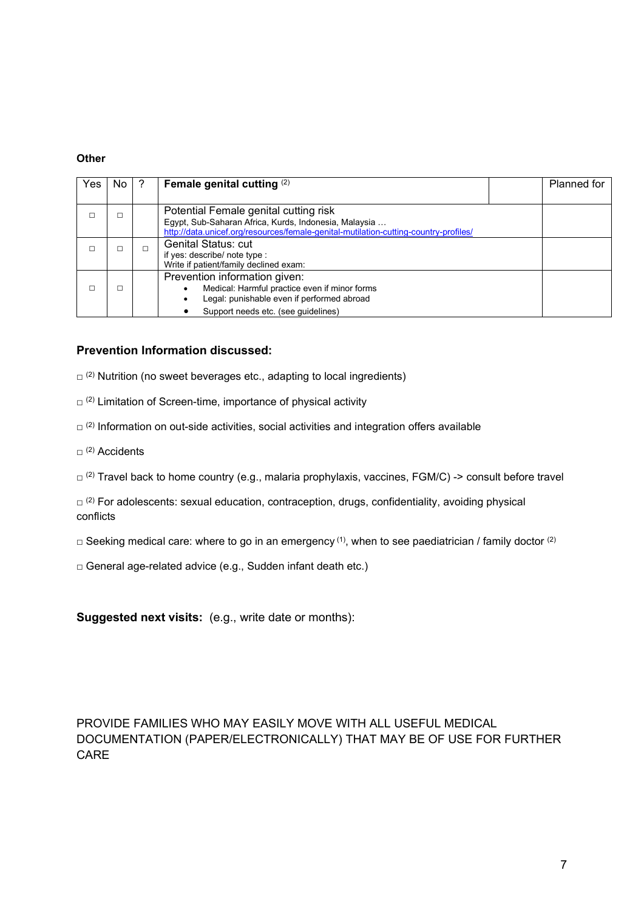#### **Other**

| Yes | No l | Female genital cutting $(2)$                                                                                                                                                           |  | Planned for |  |  |
|-----|------|----------------------------------------------------------------------------------------------------------------------------------------------------------------------------------------|--|-------------|--|--|
|     |      | Potential Female genital cutting risk<br>Egypt, Sub-Saharan Africa, Kurds, Indonesia, Malaysia<br>http://data.unicef.org/resources/female-genital-mutilation-cutting-country-profiles/ |  |             |  |  |
|     |      | <b>Genital Status: cut</b><br>if yes: describe/ note type :<br>Write if patient/family declined exam:                                                                                  |  |             |  |  |
|     |      | Prevention information given:<br>Medical: Harmful practice even if minor forms<br>Legal: punishable even if performed abroad                                                           |  |             |  |  |
|     |      | Support needs etc. (see quidelines)                                                                                                                                                    |  |             |  |  |

#### **Prevention Information discussed:**

 $\Box$  (2) Nutrition (no sweet beverages etc., adapting to local ingredients)

- $\Box$  (2) Limitation of Screen-time, importance of physical activity
- $\Box$ <sup>(2)</sup> Information on out-side activities, social activities and integration offers available
- $\Box$  (2) Accidents
- $\Box$ <sup>(2)</sup> Travel back to home country (e.g., malaria prophylaxis, vaccines, FGM/C) -> consult before travel

 $\square^{(2)}$  For adolescents: sexual education, contraception, drugs, confidentiality, avoiding physical conflicts

 $\square$  Seeking medical care: where to go in an emergency <sup>(1)</sup>, when to see paediatrician / family doctor <sup>(2)</sup>

□ General age-related advice (e.g., Sudden infant death etc.)

**Suggested next visits:** (e.g., write date or months):

#### PROVIDE FAMILIES WHO MAY EASILY MOVE WITH ALL USEFUL MEDICAL DOCUMENTATION (PAPER/ELECTRONICALLY) THAT MAY BE OF USE FOR FURTHER CARE